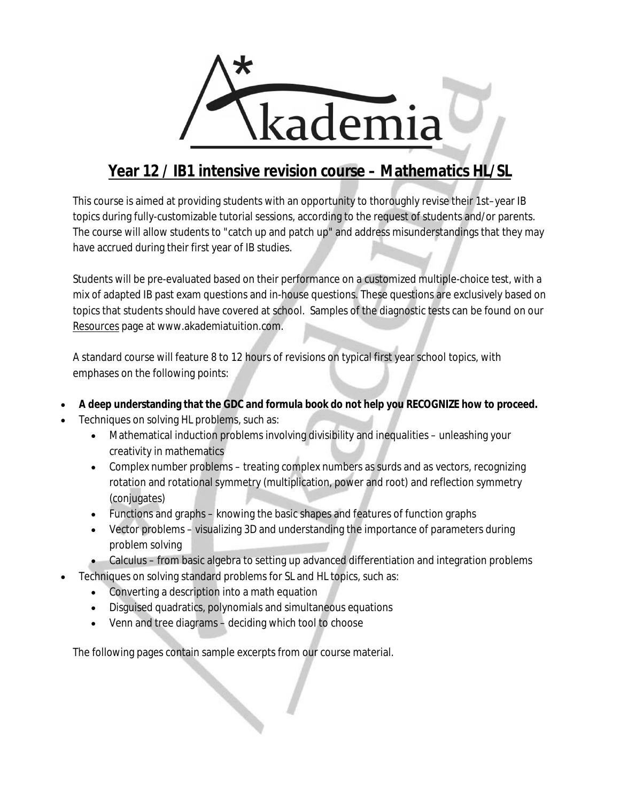

## **Year 12 / IB1 intensive revision course – Mathematics HL/SL**

This course is aimed at providing students with an opportunity to thoroughly revise their 1st–year IB topics during fully-customizable tutorial sessions, according to the request of students and/or parents. The course will allow students to "catch up and patch up" and address misunderstandings that they may have accrued during their first year of IB studies.

Students will be pre-evaluated based on their performance on a customized multiple-choice test, with a mix of adapted IB past exam questions and in-house questions. These questions are exclusively based on topics that students should have covered at school. Samples of the diagnostic tests can be found on our Resources page at www.akademiatuition.com.

A standard course will feature 8 to 12 hours of revisions on typical first year school topics, with emphases on the following points:

- **A deep understanding that the GDC and formula book do not help you RECOGNIZE how to proceed.**
- Techniques on solving HL problems, such as:
	- Mathematical induction problems involving divisibility and inequalities unleashing your creativity in mathematics
	- Complex number problems treating complex numbers as surds and as vectors, recognizing rotation and rotational symmetry (multiplication, power and root) and reflection symmetry (conjugates)
	- Functions and graphs knowing the basic shapes and features of function graphs
	- Vector problems visualizing 3D and understanding the importance of parameters during problem solving
	- Calculus from basic algebra to setting up advanced differentiation and integration problems
- Techniques on solving standard problems for SL and HL topics, such as:
	- Converting a description into a math equation
	- Disguised quadratics, polynomials and simultaneous equations
	- Venn and tree diagrams deciding which tool to choose

The following pages contain sample excerpts from our course material.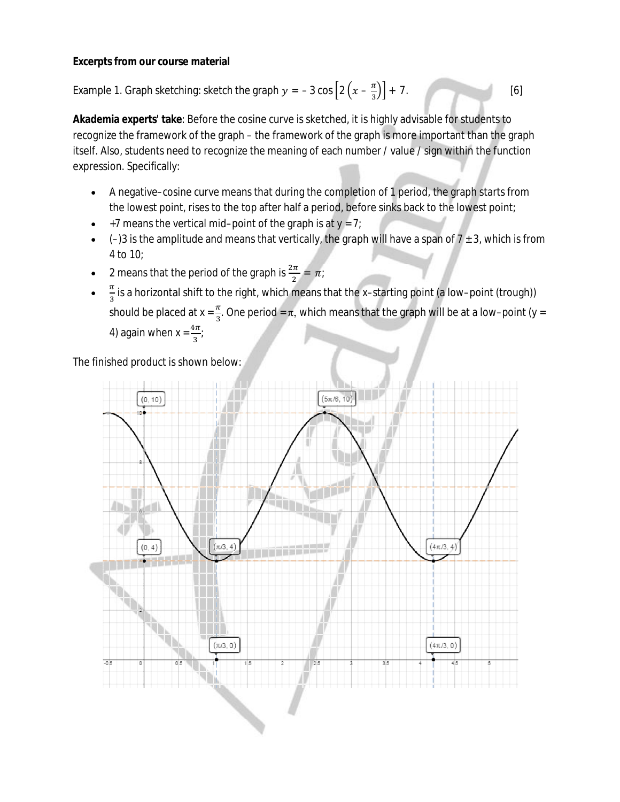## **Excerpts from our course material**

Example 1. Graph sketching: sketch the graph  $y = -3 \cos \left[ 2 \left( x - \frac{\pi}{2} \right) \right]$  $\frac{\pi}{3}$ ) + 7. [6]

**Akademia experts' take**: Before the cosine curve is sketched, it is highly advisable for students to recognize the framework of the graph – the framework of the graph is more important than the graph itself. Also, students need to recognize the meaning of each number / value / sign within the function expression. Specifically:

- A negative–cosine curve means that during the completion of 1 period, the graph starts from the lowest point, rises to the top after half a period, before sinks back to the lowest point;
- +7 means the vertical mid–point of the graph is at  $y = 7$ ;
- $\bullet$  (-)3 is the amplitude and means that vertically, the graph will have a span of 7  $\pm$  3, which is from 4 to 10;
- 2 means that the period of the graph is  $\frac{2\pi}{2} = \pi$ ;
- $\bullet$  $\pi$  $\frac{\pi}{3}$  is a horizontal shift to the right, which means that the x–starting point (a low–point (trough)) should be placed at x =  $\frac{\pi}{3}$ . One period =  $\pi$ , which means that the graph will be at a low–point (y = 4) again when  $x = \frac{4\pi}{3}$ ;

The finished product is shown below:

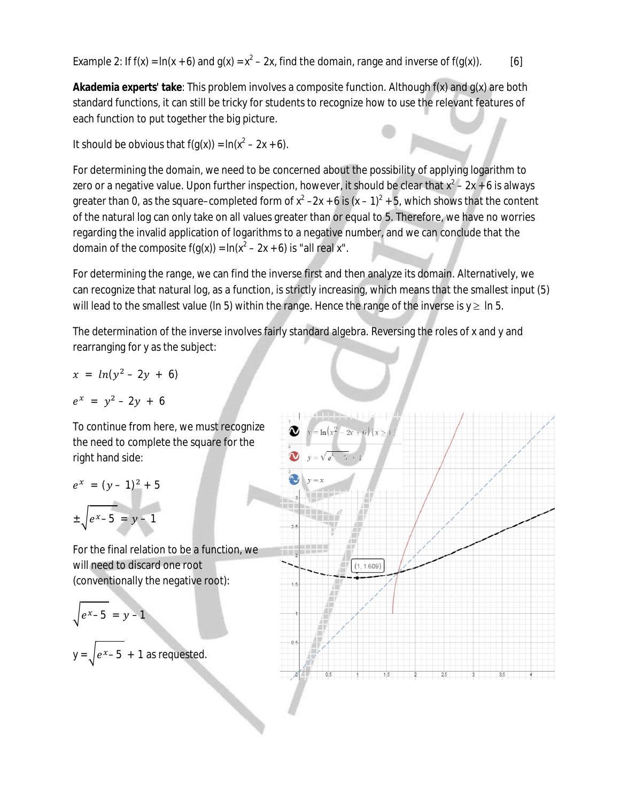Example 2: If f(x) =  $ln(x + 6)$  and  $g(x) = x^2 - 2x$ , find the domain, range and inverse of f(g(x)). [6]

**Akademia experts' take**: This problem involves a composite function. Although f(x) and g(x) are both standard functions, it can still be tricky for students to recognize how to use the relevant features of each function to put together the big picture.

It should be obvious that  $f(g(x)) = \ln(x^2 - 2x + 6)$ .

For determining the domain, we need to be concerned about the possibility of applying logarithm to zero or a negative value. Upon further inspection, however, it should be clear that  $x^2 - 2x + 6$  is always greater than 0, as the square–completed form of  $x^2 - 2x + 6$  is  $(x - 1)^2 + 5$ , which shows that the content of the natural log can only take on all values greater than or equal to 5. Therefore, we have no worries regarding the invalid application of logarithms to a negative number, and we can conclude that the domain of the composite f(g(x)) = ln(x<sup>2</sup> – 2x + 6) is "all real x".

For determining the range, we can find the inverse first and then analyze its domain. Alternatively, we can recognize that natural log, as a function, is strictly increasing, which means that the smallest input (5) will lead to the smallest value (ln 5) within the range. Hence the range of the inverse is  $y \geq \ln 5$ .

The determination of the inverse involves fairly standard algebra. Reversing the roles of x and y and rearranging for y as the subject:

$$
x = ln(y^2-2y + 6)
$$

$$
e^x = y^2 - 2y + 6
$$

To continue from here, we must recognize the need to complete the square for the right hand side:

$$
e^{x} = (y - 1)^{2} + 5
$$
  

$$
\pm \sqrt{e^{x} - 5} = y - 1
$$

For the final relation to be a function, we will need to discard one root (conventionally the negative root):

$$
\sqrt{e^x-5}=y-1
$$

 $y = \sqrt{e^x - 5} + 1$  as requested.